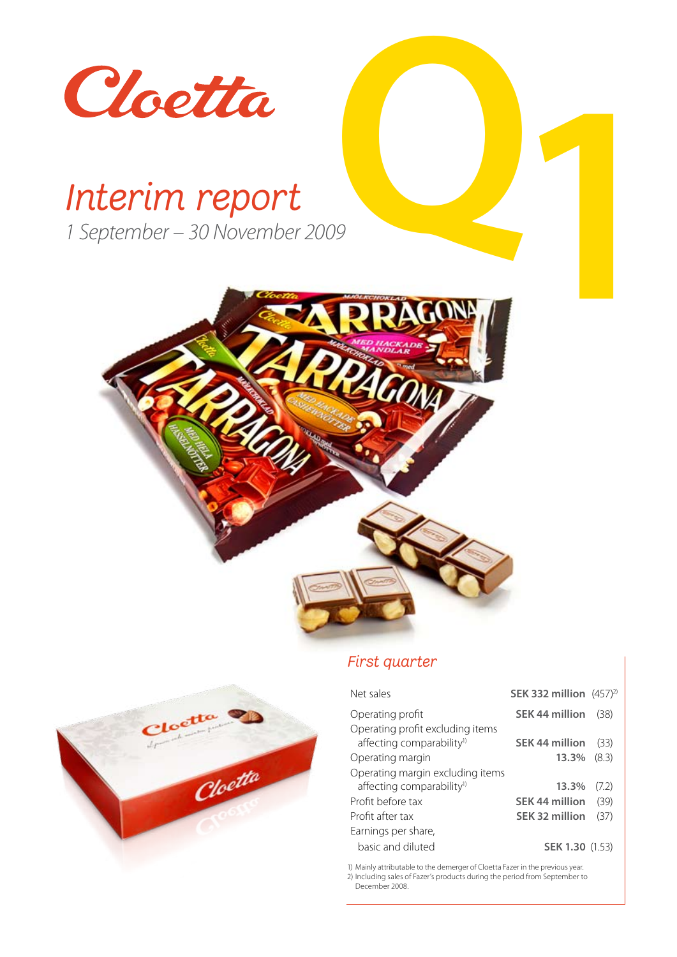

 $e^{\epsilon t}$ 

Cloetta

*1 September – 30 November 2009*



### *First quarter*

| Net sales                             | SEK 332 million $(457)^2$ |       |
|---------------------------------------|---------------------------|-------|
| Operating profit                      | SEK 44 million            | (38)  |
| Operating profit excluding items      |                           |       |
| affecting comparability <sup>1)</sup> | SEK 44 million            | (33)  |
| Operating margin                      | 13.3%                     | (8.3) |
| Operating margin excluding items      |                           |       |
| affecting comparability <sup>1)</sup> | 13.3%                     | (7.2) |
| Profit before tax                     | <b>SEK 44 million</b>     | (39)  |
| Profit after tax                      | SEK 32 million            | (37)  |
| Earnings per share,                   |                           |       |
| basic and diluted                     | <b>SEK 1.30 (1.53)</b>    |       |



2) Including sales of Fazer's products during the period from September to December 2008.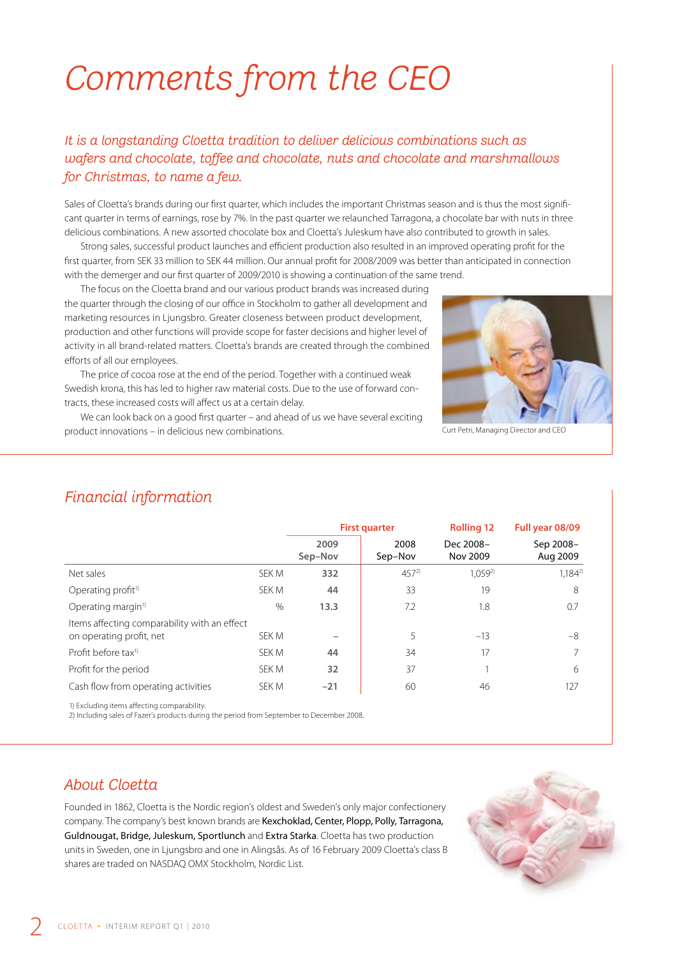# *Comments from the CEO*

### *It is a longstanding Cloetta tradition to deliver delicious combinations such as wafers and chocolate, toffee and chocolate, nuts and chocolate and marshmallows for Christmas, to name a few.*

Sales of Cloetta's brands during our first quarter, which includes the important Christmas season and is thus the most significant quarter in terms of earnings, rose by 7%. In the past quarter we relaunched Tarragona, a chocolate bar with nuts in three delicious combinations. A new assorted chocolate box and Cloetta's Juleskum have also contributed to growth in sales.

Strong sales, successful product launches and efficient production also resulted in an improved operating profit for the first quarter, from SEK 33 million to SEK 44 million. Our annual profit for 2008/2009 was better than anticipated in connection with the demerger and our first quarter of 2009/2010 is showing a continuation of the same trend.

The focus on the Cloetta brand and our various product brands was increased during the quarter through the closing of our office in Stockholm to gather all development and marketing resources in Ljungsbro. Greater closeness between product development, production and other functions will provide scope for faster decisions and higher level of activity in all brand-related matters. Cloetta's brands are created through the combined efforts of all our employees.

The price of cocoa rose at the end of the period. Together with a continued weak Swedish krona, this has led to higher raw material costs. Due to the use of forward contracts, these increased costs will affect us at a certain delay.

We can look back on a good first quarter – and ahead of us we have several exciting product innovations – in delicious new combinations.



Curt Petri, Managing Director and CEO

### *Financial information*

|                                                                          |       | <b>First quarter</b> |                 | <b>Rolling 12</b>     | Full year 08/09       |
|--------------------------------------------------------------------------|-------|----------------------|-----------------|-----------------------|-----------------------|
|                                                                          |       | 2009<br>Sep-Nov      | 2008<br>Sep-Nov | Dec 2008-<br>Nov 2009 | Sep 2008-<br>Aug 2009 |
| Net sales                                                                | SEK M | 332                  | $457^{2}$       | $1.059^{2}$           | $1.184^{2}$           |
| Operating $profit$ <sup>1)</sup>                                         | SEK M | 44                   | 33              | 19                    | 8                     |
| Operating margin <sup>1)</sup>                                           | $\%$  | 13.3                 | 7.2             | 1.8                   | 0.7                   |
| Items affecting comparability with an effect<br>on operating profit, net | SEK M |                      | 5               | $-13$                 | $-8$                  |
| Profit before tax <sup>1)</sup>                                          | SEK M | 44                   | 34              | 17                    | $\overline{7}$        |
| Profit for the period                                                    | SFK M | 32                   | 37              |                       | 6                     |
| Cash flow from operating activities                                      | SFK M | $-21$                | 60              | 46                    | 127                   |

1) Excluding items affecting comparability.

2) Including sales of Fazer's products during the period from September to December 2008.

### *About Cloetta*

Founded in 1862, Cloetta is the Nordic region's oldest and Sweden's only major confectionery company. The company's best known brands are Kexchoklad, Center, Plopp, Polly, Tarragona, Guldnougat, Bridge, Juleskum, Sportlunch and Extra Starka. Cloetta has two production units in Sweden, one in Ljungsbro and one in Alingsås. As of 16 February 2009 Cloetta's class B shares are traded on NASDAQ OMX Stockholm, Nordic List.

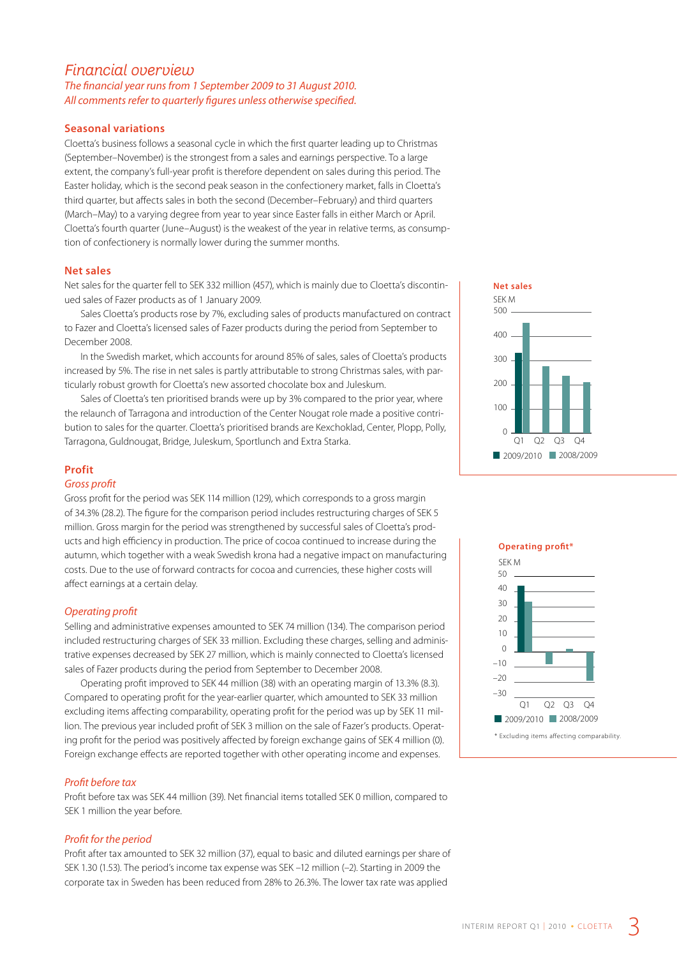### *Financial overview*

*The financial year runs from 1 September 2009 to 31 August 2010. All comments refer to quarterly figures unless otherwise specified.*

#### **Seasonal variations**

Cloetta's business follows a seasonal cycle in which the first quarter leading up to Christmas (September–November) is the strongest from a sales and earnings perspective. To a large extent, the company's full-year profit is therefore dependent on sales during this period. The Easter holiday, which is the second peak season in the confectionery market, falls in Cloetta's third quarter, but affects sales in both the second (December–February) and third quarters (March–May) to a varying degree from year to year since Easter falls in either March or April. Cloetta's fourth quarter (June–August) is the weakest of the year in relative terms, as consumption of confectionery is normally lower during the summer months.

#### **Net sales**

Net sales for the quarter fell to SEK 332 million (457), which is mainly due to Cloetta's discontinued sales of Fazer products as of 1 January 2009.

Sales Cloetta's products rose by 7%, excluding sales of products manufactured on contract to Fazer and Cloetta's licensed sales of Fazer products during the period from September to December 2008.

In the Swedish market, which accounts for around 85% of sales, sales of Cloetta's products increased by 5%. The rise in net sales is partly attributable to strong Christmas sales, with particularly robust growth for Cloetta's new assorted chocolate box and Juleskum.

Sales of Cloetta's ten prioritised brands were up by 3% compared to the prior year, where the relaunch of Tarragona and introduction of the Center Nougat role made a positive contribution to sales for the quarter. Cloetta's prioritised brands are Kexchoklad, Center, Plopp, Polly, Tarragona, Guldnougat, Bridge, Juleskum, Sportlunch and Extra Starka.

#### **Profit**

#### *Gross profit*

Gross profit for the period was SEK 114 million (129), which corresponds to a gross margin of 34.3% (28.2). The figure for the comparison period includes restructuring charges of SEK 5 million. Gross margin for the period was strengthened by successful sales of Cloetta's products and high efficiency in production. The price of cocoa continued to increase during the autumn, which together with a weak Swedish krona had a negative impact on manufacturing costs. Due to the use of forward contracts for cocoa and currencies, these higher costs will affect earnings at a certain delay.

#### *Operating profit*

Selling and administrative expenses amounted to SEK 74 million (134). The comparison period included restructuring charges of SEK 33 million. Excluding these charges, selling and administrative expenses decreased by SEK 27 million, which is mainly connected to Cloetta's licensed sales of Fazer products during the period from September to December 2008.

Operating profit improved to SEK 44 million (38) with an operating margin of 13.3% (8.3). Compared to operating profit for the year-earlier quarter, which amounted to SEK 33 million excluding items affecting comparability, operating profit for the period was up by SEK 11 million. The previous year included profit of SEK 3 million on the sale of Fazer's products. Operating profit for the period was positively affected by foreign exchange gains of SEK 4 million (0). Foreign exchange effects are reported together with other operating income and expenses.

#### *Profit before tax*

Profit before tax was SEK 44 million (39). Net financial items totalled SEK 0 million, compared to SEK 1 million the year before.

#### *Profit for the period*

Profit after tax amounted to SEK 32 million (37), equal to basic and diluted earnings per share of SEK 1.30 (1.53). The period's income tax expense was SEK –12 million (–2). Starting in 2009 the corporate tax in Sweden has been reduced from 28% to 26.3%. The lower tax rate was applied



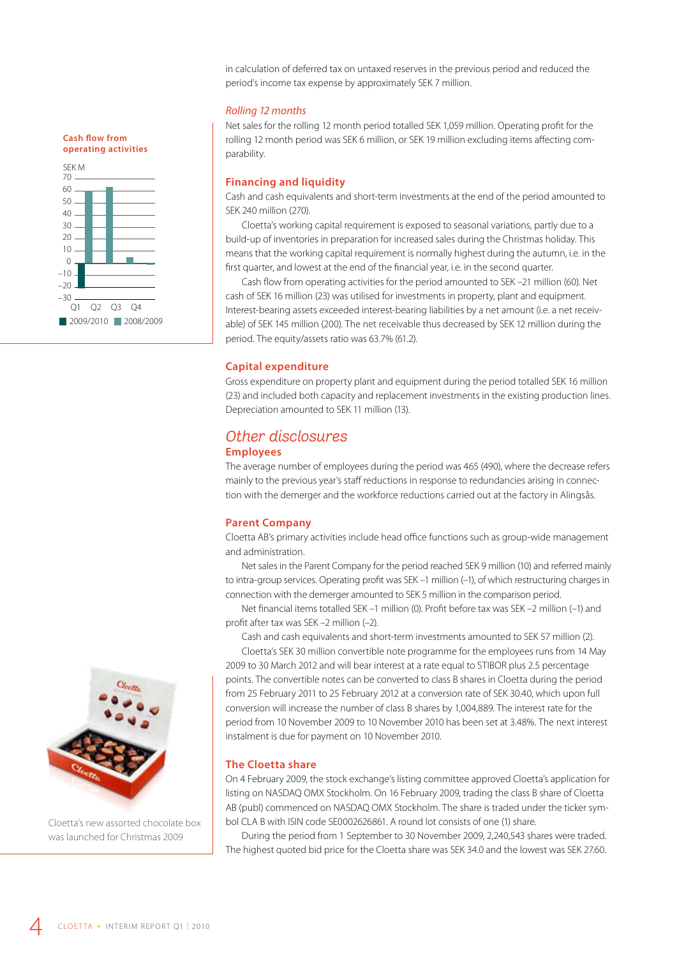in calculation of deferred tax on untaxed reserves in the previous period and reduced the period's income tax expense by approximately SEK 7 million.

#### *Rolling 12 months*

Net sales for the rolling 12 month period totalled SEK 1,059 million. Operating profit for the rolling 12 month period was SEK 6 million, or SEK 19 million excluding items affecting comparability.

#### **Financing and liquidity**

Cash and cash equivalents and short-term investments at the end of the period amounted to SEK 240 million (270).

Cloetta's working capital requirement is exposed to seasonal variations, partly due to a build-up of inventories in preparation for increased sales during the Christmas holiday. This means that the working capital requirement is normally highest during the autumn, i.e. in the first quarter, and lowest at the end of the financial year, i.e. in the second quarter.

Cash flow from operating activities for the period amounted to SEK –21 million (60). Net cash of SEK 16 million (23) was utilised for investments in property, plant and equipment. Interest-bearing assets exceeded interest-bearing liabilities by a net amount (i.e. a net receivable) of SEK 145 million (200). The net receivable thus decreased by SEK 12 million during the period. The equity/assets ratio was 63.7% (61.2).

#### **Capital expenditure**

Gross expenditure on property plant and equipment during the period totalled SEK 16 million (23) and included both capacity and replacement investments in the existing production lines. Depreciation amounted to SEK 11 million (13).

### *Other disclosures*

#### **Employees**

The average number of employees during the period was 465 (490), where the decrease refers mainly to the previous year's staff reductions in response to redundancies arising in connection with the demerger and the workforce reductions carried out at the factory in Alingsås.

#### **Parent Company**

Cloetta AB's primary activities include head office functions such as group-wide management and administration.

Net sales in the Parent Company for the period reached SEK 9 million (10) and referred mainly to intra-group services. Operating profit was SEK –1 million (–1), of which restructuring charges in connection with the demerger amounted to SEK 5 million in the comparison period.

Net financial items totalled SEK –1 million (0). Profit before tax was SEK –2 million (–1) and profit after tax was SEK –2 million (–2).

Cash and cash equivalents and short-term investments amounted to SEK 57 million (2). Cloetta's SEK 30 million convertible note programme for the employees runs from 14 May

2009 to 30 March 2012 and will bear interest at a rate equal to STIBOR plus 2.5 percentage points. The convertible notes can be converted to class B shares in Cloetta during the period from 25 February 2011 to 25 February 2012 at a conversion rate of SEK 30.40, which upon full conversion will increase the number of class B shares by 1,004,889. The interest rate for the period from 10 November 2009 to 10 November 2010 has been set at 3.48%. The next interest instalment is due for payment on 10 November 2010.

#### **The Cloetta share**

On 4 February 2009, the stock exchange's listing committee approved Cloetta's application for listing on NASDAQ OMX Stockholm. On 16 February 2009, trading the class B share of Cloetta AB (publ) commenced on NASDAQ OMX Stockholm. The share is traded under the ticker symbol CLA B with ISIN code SE0002626861. A round lot consists of one (1) share.

During the period from 1 September to 30 November 2009, 2,240,543 shares were traded. The highest quoted bid price for the Cloetta share was SEK 34.0 and the lowest was SEK 27.60.



Cloetta's new assorted chocolate box was launched for Christmas 2009

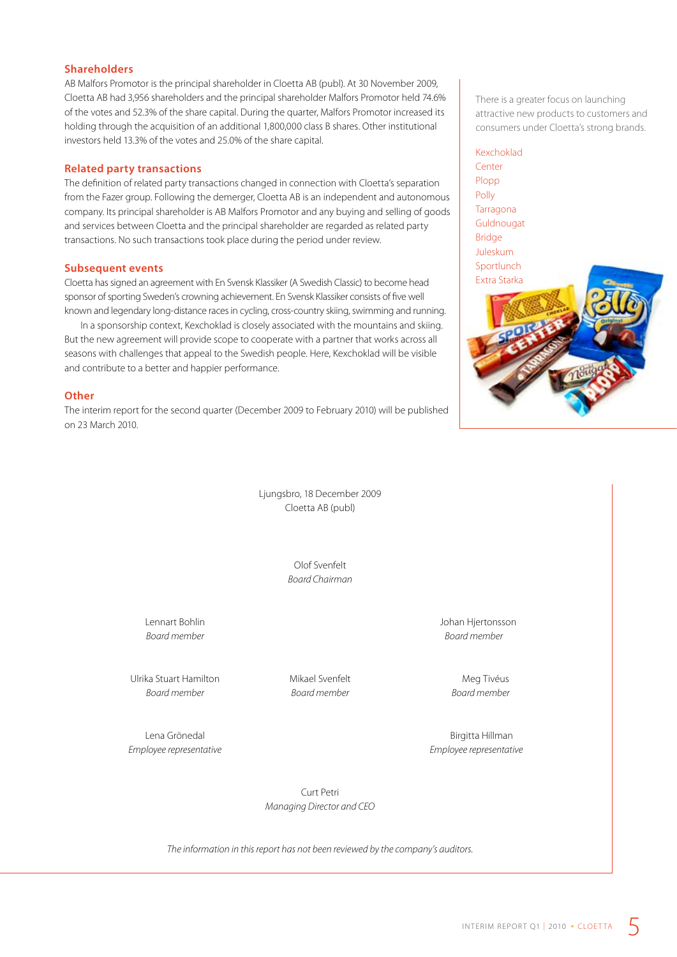#### **Shareholders**

AB Malfors Promotor is the principal shareholder in Cloetta AB (publ). At 30 November 2009, Cloetta AB had 3,956 shareholders and the principal shareholder Malfors Promotor held 74.6% of the votes and 52.3% of the share capital. During the quarter, Malfors Promotor increased its holding through the acquisition of an additional 1,800,000 class B shares. Other institutional investors held 13.3% of the votes and 25.0% of the share capital.

#### **Related party transactions**

The definition of related party transactions changed in connection with Cloetta's separation from the Fazer group. Following the demerger, Cloetta AB is an independent and autonomous company. Its principal shareholder is AB Malfors Promotor and any buying and selling of goods and services between Cloetta and the principal shareholder are regarded as related party transactions. No such transactions took place during the period under review.

#### **Subsequent events**

Cloetta has signed an agreement with En Svensk Klassiker (A Swedish Classic) to become head sponsor of sporting Sweden's crowning achievement. En Svensk Klassiker consists of five well known and legendary long-distance races in cycling, cross-country skiing, swimming and running.

In a sponsorship context, Kexchoklad is closely associated with the mountains and skiing. But the new agreement will provide scope to cooperate with a partner that works across all seasons with challenges that appeal to the Swedish people. Here, Kexchoklad will be visible and contribute to a better and happier performance.

#### **Other**

The interim report for the second quarter (December 2009 to February 2010) will be published on 23 March 2010.

> Ljungsbro, 18 December 2009 Cloetta AB (publ)

> > Olof Svenfelt *Board Chairman*

Ulrika Stuart Hamilton Mikael Svenfelt Meg Tivéus *Board member Board member Board member*

*Employee representative Employee representative*

There is a greater focus on launching attractive new products to customers and consumers under Cloetta's strong brands.

#### Kexchoklad



Lennart Bohlin Johan Hjertonsson *Board member Board member*

Lena Grönedal and Birgitta Hillman

Curt Petri *Managing Director and CEO*

*The information in this report has not been reviewed by the company's auditors.*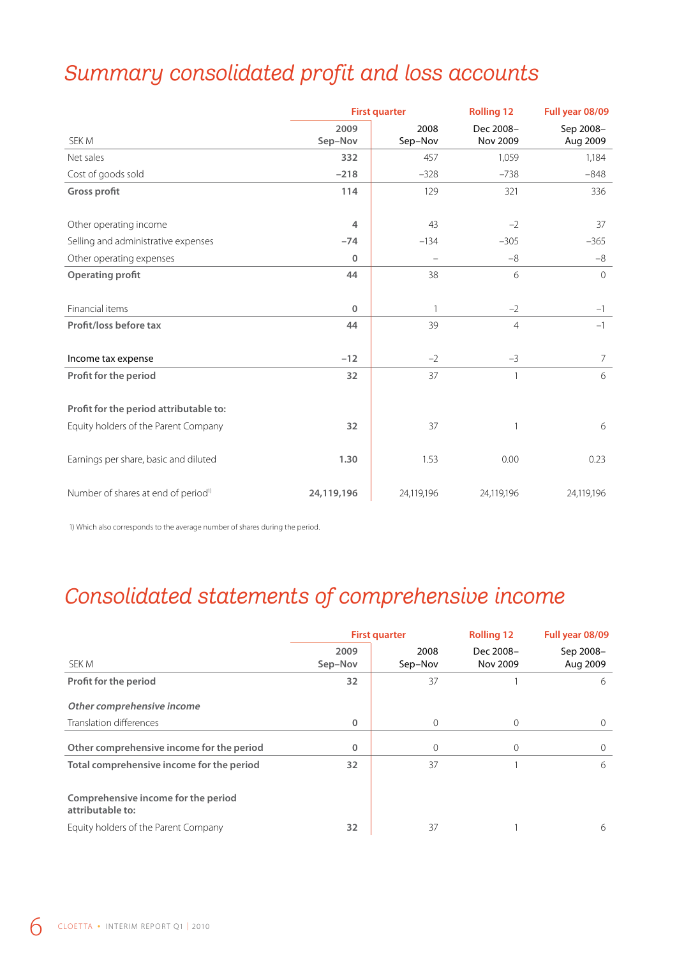## *Summary consolidated profit and loss accounts*

|                                                 | <b>First quarter</b> |                          | <b>Rolling 12</b>     | Full year 08/09       |
|-------------------------------------------------|----------------------|--------------------------|-----------------------|-----------------------|
| SEK M                                           | 2009<br>Sep-Nov      | 2008<br>Sep-Nov          | Dec 2008-<br>Nov 2009 | Sep 2008-<br>Aug 2009 |
| Net sales                                       | 332                  | 457                      | 1,059                 | 1,184                 |
| Cost of goods sold                              | $-218$               | $-328$                   | $-738$                | $-848$                |
| Gross profit                                    | 114                  | 129                      | 321                   | 336                   |
| Other operating income                          | 4                    | 43                       | $-2$                  | 37                    |
| Selling and administrative expenses             | $-74$                | $-134$                   | $-305$                | $-365$                |
| Other operating expenses                        | 0                    | $\overline{\phantom{0}}$ | $-8$                  | $-8$                  |
| <b>Operating profit</b>                         | 44                   | 38                       | 6                     | $\overline{0}$        |
| Financial items                                 | 0                    | $\mathbf{1}$             | $-2$                  | $-1$                  |
| Profit/loss before tax                          | 44                   | 39                       | $\overline{4}$        | $-1$                  |
| Income tax expense                              | $-12$                | $-2$                     | $-3$                  | $\overline{7}$        |
| Profit for the period                           | 32                   | 37                       | $\mathbf{1}$          | 6                     |
| Profit for the period attributable to:          |                      |                          |                       |                       |
| Equity holders of the Parent Company            | 32                   | 37                       | $\mathbf{1}$          | 6                     |
| Earnings per share, basic and diluted           | 1.30                 | 1.53                     | 0.00                  | 0.23                  |
| Number of shares at end of period <sup>1)</sup> | 24,119,196           | 24,119,196               | 24,119,196            | 24,119,196            |

1) Which also corresponds to the average number of shares during the period.

## *Consolidated statements of comprehensive income*

|                                                         | <b>First quarter</b> |                 | <b>Rolling 12</b>     | Full year 08/09       |  |
|---------------------------------------------------------|----------------------|-----------------|-----------------------|-----------------------|--|
| SEK M                                                   | 2009<br>Sep-Nov      | 2008<br>Sep-Nov | Dec 2008-<br>Nov 2009 | Sep 2008-<br>Aug 2009 |  |
| Profit for the period                                   | 32                   | 37              |                       | 6                     |  |
| Other comprehensive income                              |                      |                 |                       |                       |  |
| Translation differences                                 | $\mathbf{0}$         | 0               | 0                     | $\Omega$              |  |
| Other comprehensive income for the period               | $\mathbf 0$          | $\mathbf 0$     | $\Omega$              | $\Omega$              |  |
| Total comprehensive income for the period               | 32                   | 37              |                       | 6                     |  |
| Comprehensive income for the period<br>attributable to: |                      |                 |                       |                       |  |
| Equity holders of the Parent Company                    | 32                   | 37              |                       | 6                     |  |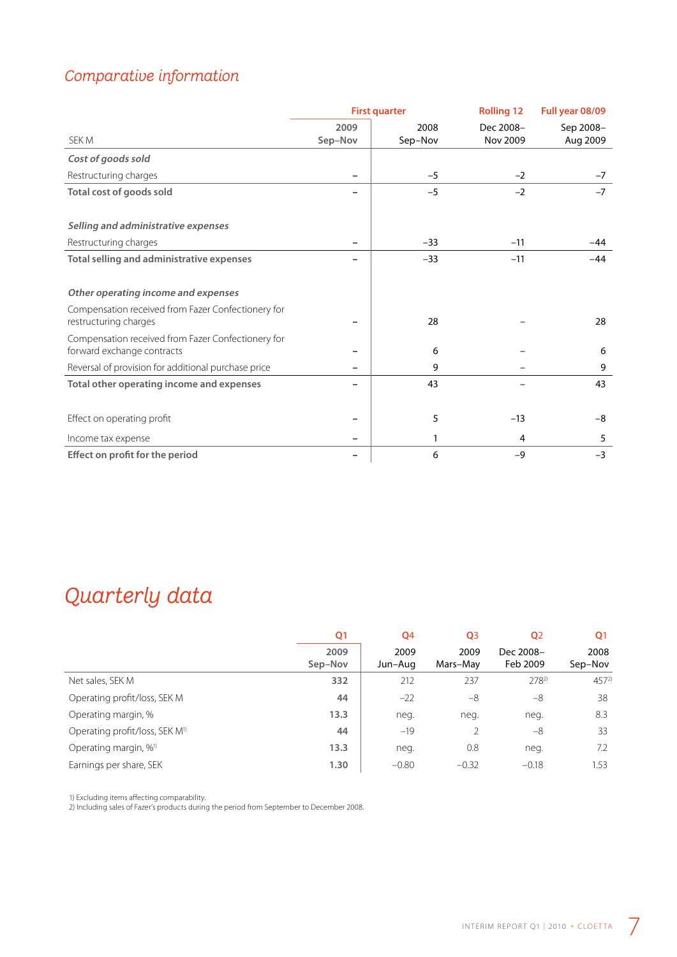### *Comparative information*

|                                                                                  | <b>First quarter</b> |                 | <b>Rolling 12</b>     | Full year 08/09       |
|----------------------------------------------------------------------------------|----------------------|-----------------|-----------------------|-----------------------|
| SEK M                                                                            | 2009<br>Sep-Nov      | 2008<br>Sep-Nov | Dec 2008-<br>Nov 2009 | Sep 2008-<br>Aug 2009 |
| Cost of goods sold                                                               |                      |                 |                       |                       |
| Restructuring charges                                                            |                      | $-5$            | $-2$                  | $-7$                  |
| Total cost of goods sold                                                         |                      | $-5$            | $-2$                  | $-7$                  |
| Selling and administrative expenses                                              |                      |                 |                       |                       |
| Restructuring charges                                                            |                      | $-33$           | $-11$                 | $-44$                 |
| Total selling and administrative expenses                                        |                      | $-33$           | $-11$                 | -44                   |
| Other operating income and expenses                                              |                      |                 |                       |                       |
| Compensation received from Fazer Confectionery for<br>restructuring charges      |                      | 28              |                       | 28                    |
| Compensation received from Fazer Confectionery for<br>forward exchange contracts |                      | 6               |                       | 6                     |
| Reversal of provision for additional purchase price                              |                      | 9               |                       | 9                     |
| Total other operating income and expenses                                        |                      | 43              |                       | 43                    |
| Effect on operating profit                                                       |                      | 5               | $-13$                 | -8                    |
| Income tax expense                                                               |                      | 1               | 4                     | 5                     |
| Effect on profit for the period                                                  |                      | 6               | $-9$                  | $-3$                  |

## *Quarterly data*

|                                            | Q1              | Q <sub>4</sub>  | Q <sub>3</sub>   | Q <sub>2</sub>        | Q <sub>1</sub>  |
|--------------------------------------------|-----------------|-----------------|------------------|-----------------------|-----------------|
|                                            | 2009<br>Sep-Nov | 2009<br>Jun-Aug | 2009<br>Mars-May | Dec 2008-<br>Feb 2009 | 2008<br>Sep-Nov |
| Net sales, SEK M                           | 332             | 212             | 237              | $278^{2}$             | $457^{2}$       |
| Operating profit/loss, SEK M               | 44              | $-22$           | $-8$             | -8                    | 38              |
| Operating margin, %                        | 13.3            | neg.            | neg.             | neg.                  | 8.3             |
| Operating profit/loss, SEK M <sup>1)</sup> | 44              | $-19$           |                  | $-8$                  | 33              |
| Operating margin, % <sup>1)</sup>          | 13.3            | neg.            | 0.8              | neg.                  | 7.2             |
| Earnings per share, SEK                    | 1.30            | $-0.80$         | $-0.32$          | $-0.18$               | 1.53            |

1) Excluding items affecting comparability.

2) Including sales of Fazer's products during the period from September to December 2008.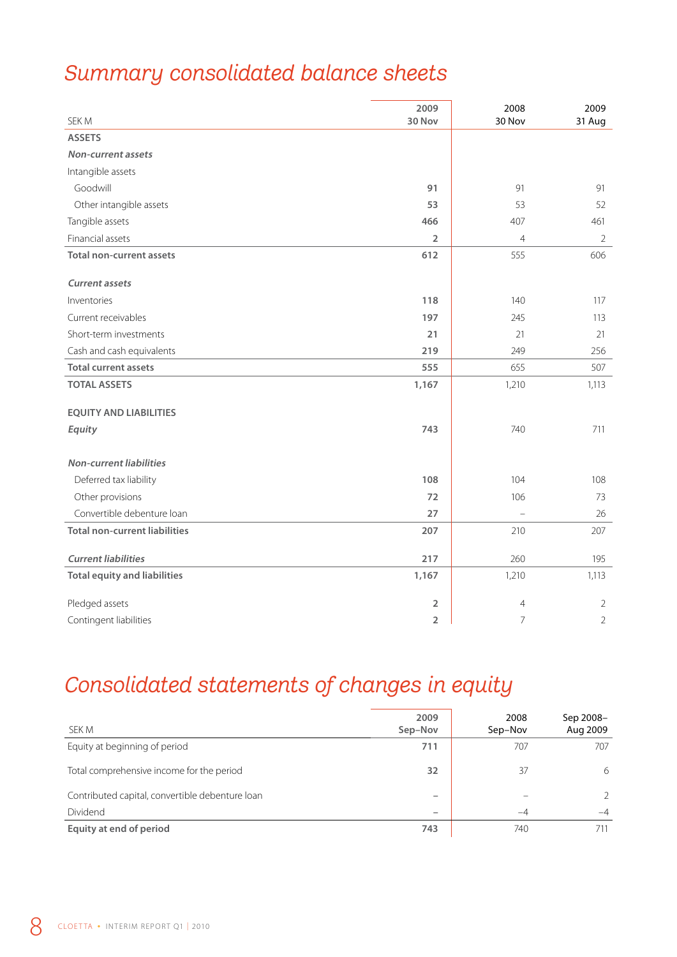## *Summary consolidated balance sheets*

| SEK M                                | 2009<br>30 Nov          | 2008<br>30 Nov | 2009<br>31 Aug |
|--------------------------------------|-------------------------|----------------|----------------|
| <b>ASSETS</b>                        |                         |                |                |
| <b>Non-current assets</b>            |                         |                |                |
| Intangible assets                    |                         |                |                |
| Goodwill                             | 91                      | 91             | 91             |
| Other intangible assets              | 53                      | 53             | 52             |
| Tangible assets                      | 466                     | 407            | 461            |
| Financial assets                     | $\overline{2}$          | $\overline{4}$ | $\overline{2}$ |
| <b>Total non-current assets</b>      | 612                     | 555            | 606            |
| <b>Current assets</b>                |                         |                |                |
| Inventories                          | 118                     | 140            | 117            |
| Current receivables                  | 197                     | 245            | 113            |
| Short-term investments               | 21                      | 21             | 21             |
| Cash and cash equivalents            | 219                     | 249            | 256            |
| <b>Total current assets</b>          | 555                     | 655            | 507            |
| <b>TOTAL ASSETS</b>                  | 1,167                   | 1,210          | 1,113          |
| <b>EQUITY AND LIABILITIES</b>        |                         |                |                |
| Equity                               | 743                     | 740            | 711            |
| <b>Non-current liabilities</b>       |                         |                |                |
| Deferred tax liability               | 108                     | 104            | 108            |
| Other provisions                     | 72                      | 106            | 73             |
| Convertible debenture loan           | 27                      |                | 26             |
| <b>Total non-current liabilities</b> | 207                     | 210            | 207            |
| <b>Current liabilities</b>           | 217                     | 260            | 195            |
| <b>Total equity and liabilities</b>  | 1,167                   | 1,210          | 1,113          |
| Pledged assets                       | $\overline{2}$          | $\overline{4}$ | $\overline{2}$ |
| Contingent liabilities               | $\overline{\mathbf{2}}$ | 7              | $\overline{2}$ |

## *Consolidated statements of changes in equity*

| SEK M                                           | 2009<br>Sep-Nov          | 2008<br>Sep-Nov | Sep 2008-<br>Aug 2009 |
|-------------------------------------------------|--------------------------|-----------------|-----------------------|
| Equity at beginning of period                   | 711                      | 707             | 707                   |
| Total comprehensive income for the period       | 32                       | 37              | 6                     |
| Contributed capital, convertible debenture loan | $\overline{\phantom{0}}$ |                 | $\mathcal{L}$         |
| Dividend                                        | $\overline{\phantom{0}}$ | $-4$            | $-4$                  |
| Equity at end of period                         | 743                      | 740             | 711                   |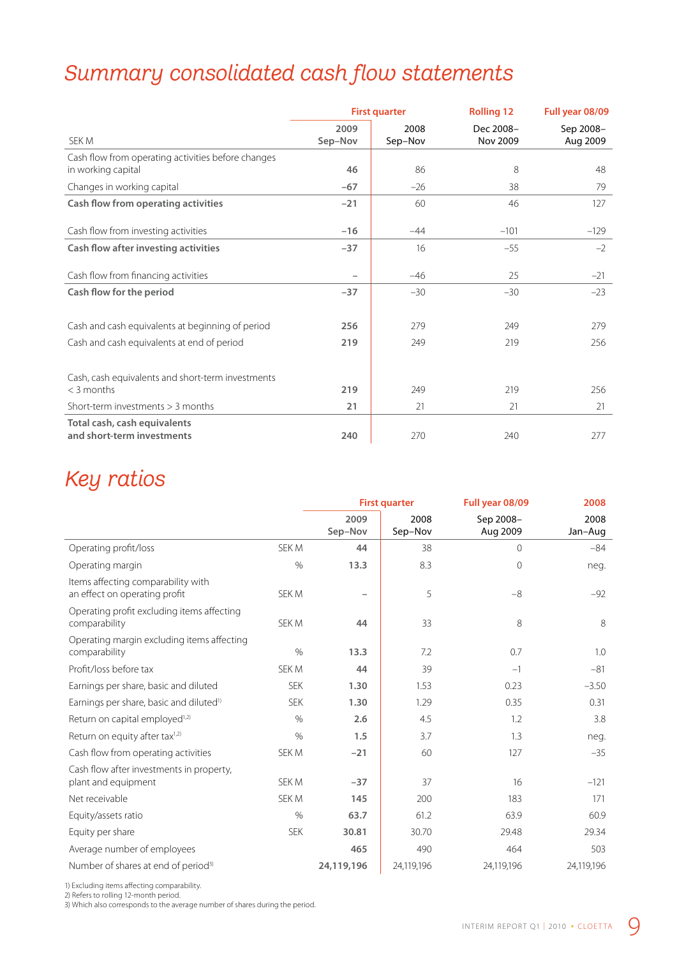## *Summary consolidated cash flow statements*

|                                                                          | <b>First quarter</b> |                 | <b>Rolling 12</b>     | Full year 08/09       |
|--------------------------------------------------------------------------|----------------------|-----------------|-----------------------|-----------------------|
| SEK M                                                                    | 2009<br>Sep-Nov      | 2008<br>Sep-Nov | Dec 2008-<br>Nov 2009 | Sep 2008-<br>Aug 2009 |
| Cash flow from operating activities before changes<br>in working capital | 46                   | 86              | 8                     | 48                    |
| Changes in working capital                                               | $-67$                | $-26$           | 38                    | 79                    |
| Cash flow from operating activities                                      | $-21$                | 60              | 46                    | 127                   |
| Cash flow from investing activities                                      | $-16$                | $-44$           | $-101$                | $-129$                |
| Cash flow after investing activities                                     | $-37$                | 16              | $-55$                 | $-2$                  |
| Cash flow from financing activities                                      |                      | $-46$           | 25                    | $-21$                 |
| Cash flow for the period                                                 | $-37$                | $-30$           | $-30$                 | $-23$                 |
| Cash and cash equivalents at beginning of period                         | 256                  | 279             | 249                   | 279                   |
| Cash and cash equivalents at end of period                               | 219                  | 249             | 219                   | 256                   |
| Cash, cash equivalents and short-term investments<br>< 3 months          | 219                  | 249             | 219                   | 256                   |
| Short-term investments $>$ 3 months                                      | 21                   | 21              | 21                    | 21                    |
| Total cash, cash equivalents<br>and short-term investments               | 240                  | 270             | 240                   | 277                   |

### *Key ratios*

|                                                                     |              |                 | <b>First quarter</b> | Full year 08/09       | 2008            |
|---------------------------------------------------------------------|--------------|-----------------|----------------------|-----------------------|-----------------|
|                                                                     |              | 2009<br>Sep-Nov | 2008<br>Sep-Nov      | Sep 2008-<br>Aug 2009 | 2008<br>Jan-Aug |
| Operating profit/loss                                               | SEK M        | 44              | 38                   | $\Omega$              | $-84$           |
| Operating margin                                                    | $\%$         | 13.3            | 8.3                  | 0                     | neg.            |
| Items affecting comparability with<br>an effect on operating profit | SEK M        |                 | 5                    | $-8$                  | $-92$           |
| Operating profit excluding items affecting<br>comparability         | SEK M        | 44              | 33                   | 8                     | 8               |
| Operating margin excluding items affecting<br>comparability         | $\%$         | 13.3            | 7.2                  | 0.7                   | 1.0             |
| Profit/loss before tax                                              | SEK M        | 44              | 39                   | $-1$                  | $-81$           |
| Earnings per share, basic and diluted                               | <b>SEK</b>   | 1.30            | 1.53                 | 0.23                  | $-3.50$         |
| Earnings per share, basic and diluted <sup>1)</sup>                 | <b>SFK</b>   | 1.30            | 1.29                 | 0.35                  | 0.31            |
| Return on capital employed <sup>1,2)</sup>                          | $\%$         | 2.6             | 4.5                  | 1.2                   | 3.8             |
| Return on equity after tax <sup>1,2)</sup>                          | $\%$         | 1.5             | 3.7                  | 1.3                   | neg.            |
| Cash flow from operating activities                                 | <b>SEK M</b> | $-21$           | 60                   | 127                   | $-35$           |
| Cash flow after investments in property,<br>plant and equipment     | SEK M        | $-37$           | 37                   | 16                    | $-121$          |
| Net receivable                                                      | SEK M        | 145             | 200                  | 183                   | 171             |
| Equity/assets ratio                                                 | $\%$         | 63.7            | 61.2                 | 63.9                  | 60.9            |
| Equity per share                                                    | <b>SEK</b>   | 30.81           | 30.70                | 29.48                 | 29.34           |
| Average number of employees                                         |              | 465             | 490                  | 464                   | 503             |
| Number of shares at end of period <sup>3)</sup>                     |              | 24,119,196      | 24,119,196           | 24,119,196            | 24,119,196      |

1) Excluding items affecting comparability.

2) Refers to rolling 12-month period.

3) Which also corresponds to the average number of shares during the period.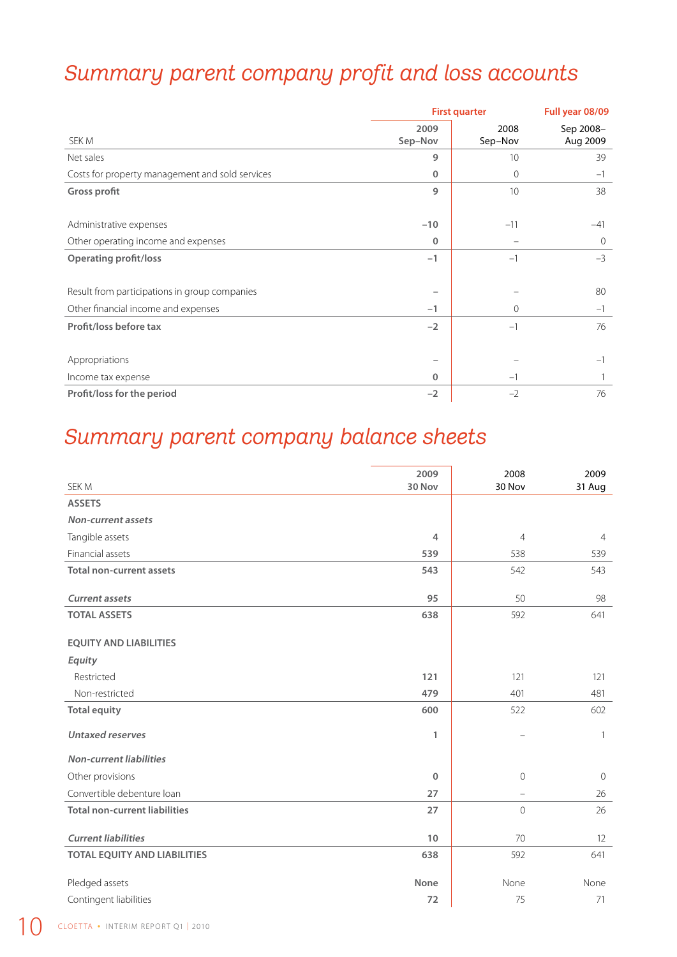## *Summary parent company profit and loss accounts*

|                                                 | <b>First quarter</b> | Full year 08/09 |                       |
|-------------------------------------------------|----------------------|-----------------|-----------------------|
| SEK M                                           | 2009<br>Sep-Nov      | 2008<br>Sep-Nov | Sep 2008-<br>Aug 2009 |
| Net sales                                       | 9                    | 10 <sup>1</sup> | 39                    |
| Costs for property management and sold services | $\mathbf{0}$         | $\mathbf{0}$    | $-1$                  |
| Gross profit                                    | 9                    | 10              | 38                    |
|                                                 |                      |                 |                       |
| Administrative expenses                         | $-10$                | $-11$           | -41                   |
| Other operating income and expenses             | $\mathbf{0}$         |                 | $\mathbf 0$           |
| <b>Operating profit/loss</b>                    | $-1$                 | $-1$            | $-3$                  |
|                                                 |                      |                 |                       |
| Result from participations in group companies   |                      |                 | 80                    |
| Other financial income and expenses             | $-1$                 | 0               | $-1$                  |
| Profit/loss before tax                          | $-2$                 | $-1$            | 76                    |
|                                                 |                      |                 |                       |
| Appropriations                                  |                      |                 | $-1$                  |
| Income tax expense                              | $\mathbf{0}$         | $-1$            |                       |
| Profit/loss for the period                      | $-2$                 | $-2$            | 76                    |

## *Summary parent company balance sheets*

|                                      | 2009   | 2008           | 2009           |
|--------------------------------------|--------|----------------|----------------|
| SEK M                                | 30 Nov | 30 Nov         | 31 Aug         |
| <b>ASSETS</b>                        |        |                |                |
| <b>Non-current assets</b>            |        |                |                |
| Tangible assets                      | 4      | $\overline{4}$ | $\overline{4}$ |
| Financial assets                     | 539    | 538            | 539            |
| <b>Total non-current assets</b>      | 543    | 542            | 543            |
|                                      |        |                |                |
| <b>Current assets</b>                | 95     | 50             | 98             |
| <b>TOTAL ASSETS</b>                  | 638    | 592            | 641            |
| <b>EQUITY AND LIABILITIES</b>        |        |                |                |
| Equity                               |        |                |                |
| Restricted                           | 121    | 121            | 121            |
| Non-restricted                       | 479    | 401            | 481            |
| <b>Total equity</b>                  | 600    | 522            | 602            |
| <b>Untaxed reserves</b>              | 1      | -              | $\mathbf{1}$   |
| <b>Non-current liabilities</b>       |        |                |                |
| Other provisions                     | 0      | $\overline{0}$ | $\overline{0}$ |
| Convertible debenture loan           | 27     |                | 26             |
| <b>Total non-current liabilities</b> | 27     | $\mathbf 0$    | 26             |
| <b>Current liabilities</b>           | 10     | 70             | 12             |
| <b>TOTAL EQUITY AND LIABILITIES</b>  | 638    | 592            | 641            |
|                                      |        |                |                |
| Pledged assets                       | None   | None           | None           |
| Contingent liabilities               | 72     | 75             | 71             |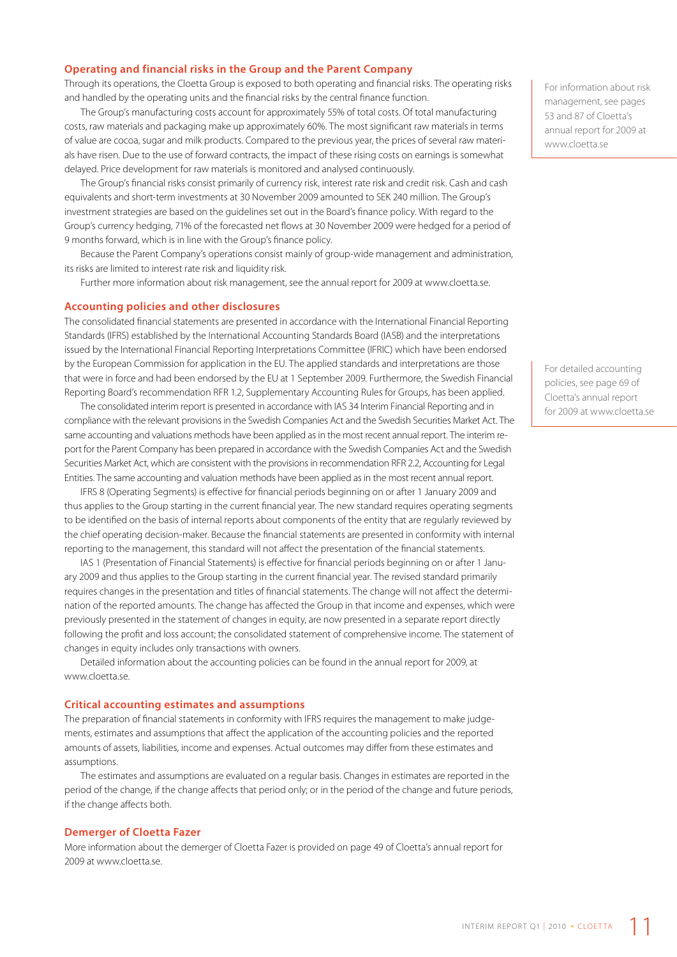#### **Operating and financial risks in the Group and the Parent Company**

Through its operations, the Cloetta Group is exposed to both operating and financial risks. The operating risks and handled by the operating units and the financial risks by the central finance function.

The Group's manufacturing costs account for approximately 55% of total costs. Of total manufacturing costs, raw materials and packaging make up approximately 60%. The most significant raw materials in terms of value are cocoa, sugar and milk products. Compared to the previous year, the prices of several raw materials have risen. Due to the use of forward contracts, the impact of these rising costs on earnings is somewhat delayed. Price development for raw materials is monitored and analysed continuously.

The Group's financial risks consist primarily of currency risk, interest rate risk and credit risk. Cash and cash equivalents and short-term investments at 30 November 2009 amounted to SEK 240 million. The Group's investment strategies are based on the guidelines set out in the Board's finance policy. With regard to the Group's currency hedging, 71% of the forecasted net flows at 30 November 2009 were hedged for a period of 9 months forward, which is in line with the Group's finance policy.

Because the Parent Company's operations consist mainly of group-wide management and administration, its risks are limited to interest rate risk and liquidity risk.

Further more information about risk management, see the annual report for 2009 at www.cloetta.se.

#### **Accounting policies and other disclosures**

The consolidated financial statements are presented in accordance with the International Financial Reporting Standards (IFRS) established by the International Accounting Standards Board (IASB) and the interpretations issued by the International Financial Reporting Interpretations Committee (IFRIC) which have been endorsed by the European Commission for application in the EU. The applied standards and interpretations are those that were in force and had been endorsed by the EU at 1 September 2009. Furthermore, the Swedish Financial Reporting Board's recommendation RFR 1.2, Supplementary Accounting Rules for Groups, has been applied.

The consolidated interim report is presented in accordance with IAS 34 Interim Financial Reporting and in compliance with the relevant provisions in the Swedish Companies Act and the Swedish Securities Market Act. The same accounting and valuations methods have been applied as in the most recent annual report. The interim report for the Parent Company has been prepared in accordance with the Swedish Companies Act and the Swedish Securities Market Act, which are consistent with the provisions in recommendation RFR 2.2, Accounting for Legal Entities. The same accounting and valuation methods have been applied as in the most recent annual report.

IFRS 8 (Operating Segments) is effective for financial periods beginning on or after 1 January 2009 and thus applies to the Group starting in the current financial year. The new standard requires operating segments to be identified on the basis of internal reports about components of the entity that are regularly reviewed by the chief operating decision-maker. Because the financial statements are presented in conformity with internal reporting to the management, this standard will not affect the presentation of the financial statements.

IAS 1 (Presentation of Financial Statements) is effective for financial periods beginning on or after 1 January 2009 and thus applies to the Group starting in the current financial year. The revised standard primarily requires changes in the presentation and titles of financial statements. The change will not affect the determination of the reported amounts. The change has affected the Group in that income and expenses, which were previously presented in the statement of changes in equity, are now presented in a separate report directly following the profit and loss account; the consolidated statement of comprehensive income. The statement of changes in equity includes only transactions with owners.

Detailed information about the accounting policies can be found in the annual report for 2009, at www.cloetta.se.

#### **Critical accounting estimates and assumptions**

The preparation of financial statements in conformity with IFRS requires the management to make judgements, estimates and assumptions that affect the application of the accounting policies and the reported amounts of assets, liabilities, income and expenses. Actual outcomes may differ from these estimates and assumptions.

The estimates and assumptions are evaluated on a regular basis. Changes in estimates are reported in the period of the change, if the change affects that period only; or in the period of the change and future periods, if the change affects both.

#### **Demerger of Cloetta Fazer**

More information about the demerger of Cloetta Fazer is provided on page 49 of Cloetta's annual report for 2009 at www.cloetta.se.

For information about risk management, see pages 53 and 87 of Cloetta's annual report for 2009 at www.cloetta.se

For detailed accounting policies, see page 69 of Cloetta's annual report for 2009 at www.cloetta.se